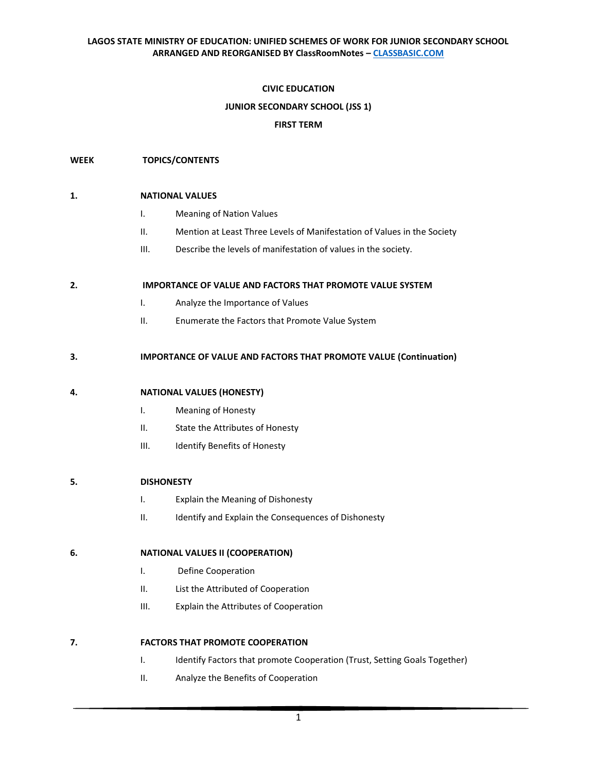## **CIVIC EDUCATION**

## **JUNIOR SECONDARY SCHOOL (JSS 1)**

### **FIRST TERM**

### **WEEK TOPICS/CONTENTS**

#### **1. NATIONAL VALUES**

- I. Meaning of Nation Values
- II. Mention at Least Three Levels of Manifestation of Values in the Society
- III. Describe the levels of manifestation of values in the society.

#### **2. IMPORTANCE OF VALUE AND FACTORS THAT PROMOTE VALUE SYSTEM**

- I. Analyze the Importance of Values
- II. Enumerate the Factors that Promote Value System

#### **3. IMPORTANCE OF VALUE AND FACTORS THAT PROMOTE VALUE (Continuation)**

## **4. NATIONAL VALUES (HONESTY)**

- I. Meaning of Honesty
- II. State the Attributes of Honesty
- III. Identify Benefits of Honesty

#### **5. DISHONESTY**

- I. Explain the Meaning of Dishonesty
- II. Identify and Explain the Consequences of Dishonesty

#### **6. NATIONAL VALUES II (COOPERATION)**

- I. Define Cooperation
- II. List the Attributed of Cooperation
- III. Explain the Attributes of Cooperation

#### **7. FACTORS THAT PROMOTE COOPERATION**

- I. Identify Factors that promote Cooperation (Trust, Setting Goals Together)
- II. Analyze the Benefits of Cooperation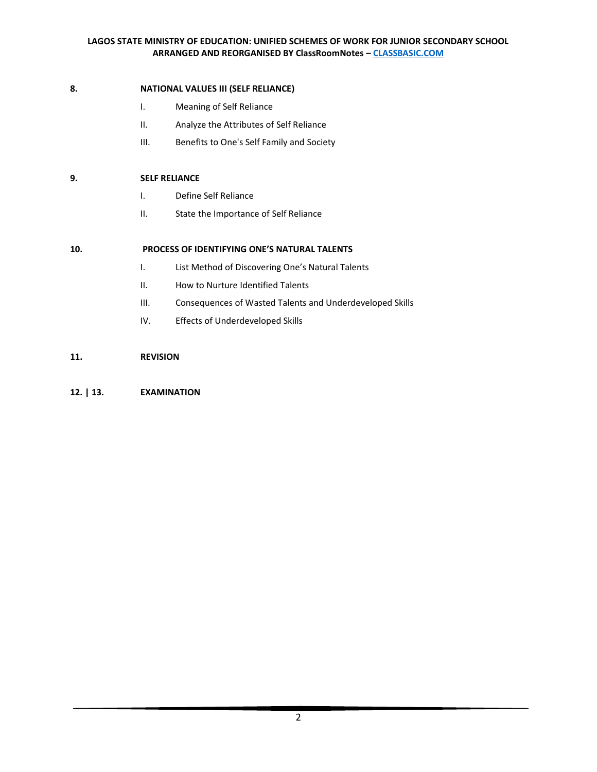# **8. NATIONAL VALUES III (SELF RELIANCE)**

- I. Meaning of Self Reliance
- II. Analyze the Attributes of Self Reliance
- III. Benefits to One's Self Family and Society

# **9. SELF RELIANCE**

- I. Define Self Reliance
- II. State the Importance of Self Reliance

# **10. PROCESS OF IDENTIFYING ONE'S NATURAL TALENTS**

- I. List Method of Discovering One's Natural Talents
- II. How to Nurture Identified Talents
- III. Consequences of Wasted Talents and Underdeveloped Skills
- IV. Effects of Underdeveloped Skills

# **11. REVISION**

# **12. | 13. EXAMINATION**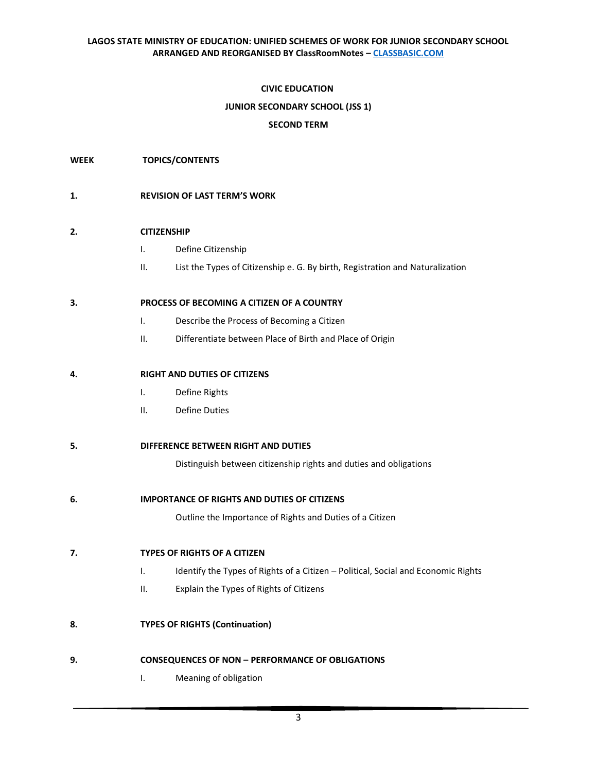## **CIVIC EDUCATION**

## **JUNIOR SECONDARY SCHOOL (JSS 1)**

## **SECOND TERM**

**WEEK TOPICS/CONTENTS**

## **1. REVISION OF LAST TERM'S WORK**

# **2. CITIZENSHIP**

- I. Define Citizenship
- II. List the Types of Citizenship e. G. By birth, Registration and Naturalization

## **3. PROCESS OF BECOMING A CITIZEN OF A COUNTRY**

- I. Describe the Process of Becoming a Citizen
- II. Differentiate between Place of Birth and Place of Origin

# **4. RIGHT AND DUTIES OF CITIZENS**

- I. Define Rights
- II. Define Duties

## **5. DIFFERENCE BETWEEN RIGHT AND DUTIES**

Distinguish between citizenship rights and duties and obligations

**6. IMPORTANCE OF RIGHTS AND DUTIES OF CITIZENS** 

Outline the Importance of Rights and Duties of a Citizen

**7. TYPES OF RIGHTS OF A CITIZEN**

- I. Identify the Types of Rights of a Citizen Political, Social and Economic Rights
- II. Explain the Types of Rights of Citizens
- **8. TYPES OF RIGHTS (Continuation)**

## **9. CONSEQUENCES OF NON – PERFORMANCE OF OBLIGATIONS**

I. Meaning of obligation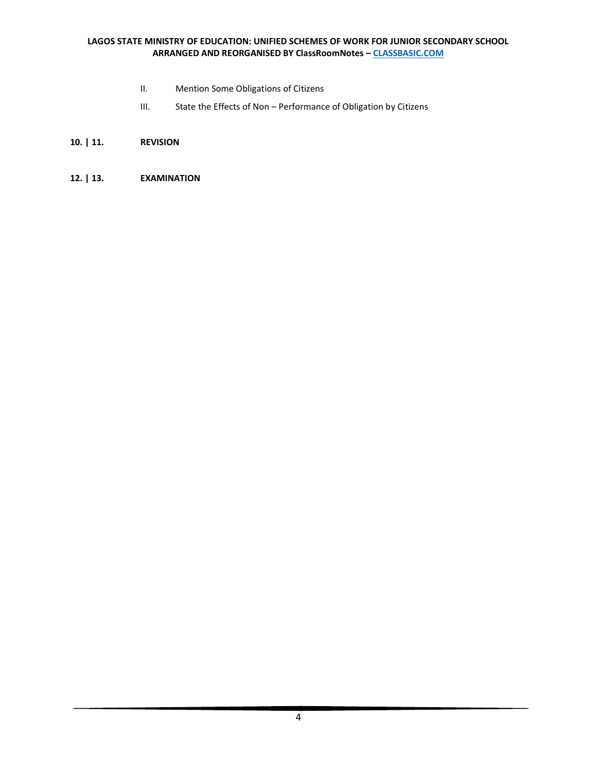- II. Mention Some Obligations of Citizens
- III. State the Effects of Non Performance of Obligation by Citizens
- **10. | 11. REVISION**
- **12. | 13. EXAMINATION**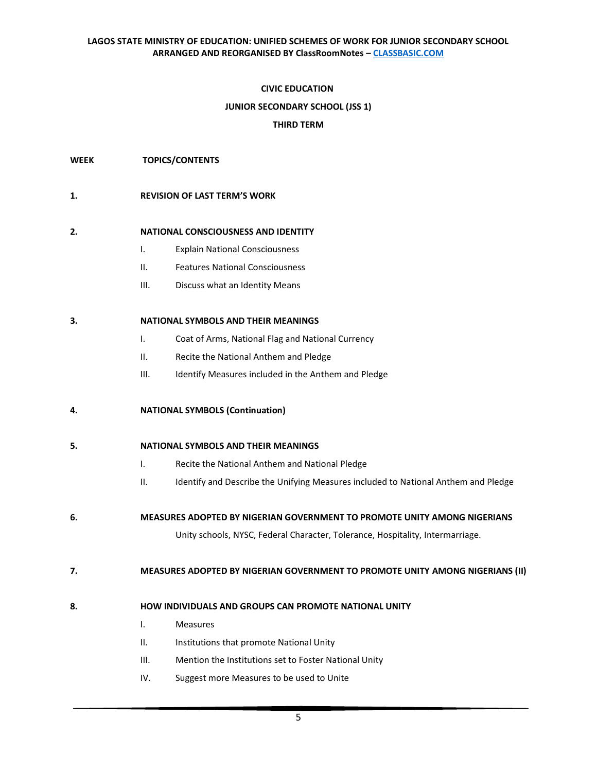### **CIVIC EDUCATION**

#### **JUNIOR SECONDARY SCHOOL (JSS 1)**

### **THIRD TERM**

#### **WEEK TOPICS/CONTENTS**

#### **1. REVISION OF LAST TERM'S WORK**

#### **2. NATIONAL CONSCIOUSNESS AND IDENTITY**

- I. Explain National Consciousness
- II. Features National Consciousness
- III. Discuss what an Identity Means

#### **3. NATIONAL SYMBOLS AND THEIR MEANINGS**

- I. Coat of Arms, National Flag and National Currency
- II. Recite the National Anthem and Pledge
- III. Identify Measures included in the Anthem and Pledge

## **4. NATIONAL SYMBOLS (Continuation)**

## **5. NATIONAL SYMBOLS AND THEIR MEANINGS**

- I. Recite the National Anthem and National Pledge
- II. Identify and Describe the Unifying Measures included to National Anthem and Pledge
- **6. MEASURES ADOPTED BY NIGERIAN GOVERNMENT TO PROMOTE UNITY AMONG NIGERIANS**

Unity schools, NYSC, Federal Character, Tolerance, Hospitality, Intermarriage.

#### **7. MEASURES ADOPTED BY NIGERIAN GOVERNMENT TO PROMOTE UNITY AMONG NIGERIANS (II)**

## **8. HOW INDIVIDUALS AND GROUPS CAN PROMOTE NATIONAL UNITY**

- I. Measures
- II. Institutions that promote National Unity
- III. Mention the Institutions set to Foster National Unity
- IV. Suggest more Measures to be used to Unite